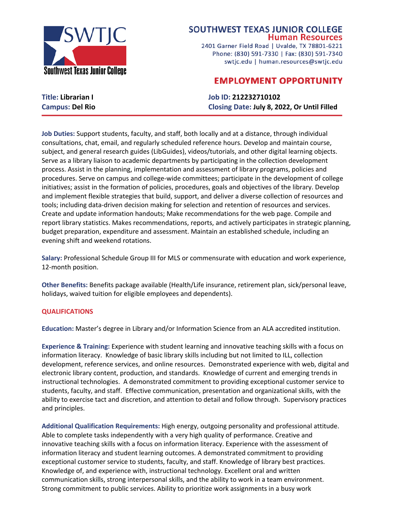

## **SOUTHWEST TEXAS JUNIOR COLLEGE Human Resources**

2401 Garner Field Road | Uvalde, TX 78801-6221 Phone: (830) 591-7330 | Fax: (830) 591-7340 swtjc.edu | human.resources@swtjc.edu

## **EMPLOYMENT OPPORTUNITY**

**Title: Librarian I Job ID: 212232710102 Campus: Del Rio Closing Date: July 8, 2022, Or Until Filled**

**Job Duties:** Support students, faculty, and staff, both locally and at a distance, through individual consultations, chat, email, and regularly scheduled reference hours. Develop and maintain course, subject, and general research guides (LibGuides), videos/tutorials, and other digital learning objects. Serve as a library liaison to academic departments by participating in the collection development process. Assist in the planning, implementation and assessment of library programs, policies and procedures. Serve on campus and college-wide committees; participate in the development of college initiatives; assist in the formation of policies, procedures, goals and objectives of the library. Develop and implement flexible strategies that build, support, and deliver a diverse collection of resources and tools; including data-driven decision making for selection and retention of resources and services. Create and update information handouts; Make recommendations for the web page. Compile and report library statistics. Makes recommendations, reports, and actively participates in strategic planning, budget preparation, expenditure and assessment. Maintain an established schedule, including an evening shift and weekend rotations.

**Salary:** Professional Schedule Group III for MLS or commensurate with education and work experience, 12-month position.

**Other Benefits:** Benefits package available (Health/Life insurance, retirement plan, sick/personal leave, holidays, waived tuition for eligible employees and dependents).

## **QUALIFICATIONS**

**Education:** Master's degree in Library and/or Information Science from an ALA accredited institution.

**Experience & Training:** Experience with student learning and innovative teaching skills with a focus on information literacy. Knowledge of basic library skills including but not limited to ILL, collection development, reference services, and online resources. Demonstrated experience with web, digital and electronic library content, production, and standards. Knowledge of current and emerging trends in instructional technologies. A demonstrated commitment to providing exceptional customer service to students, faculty, and staff. Effective communication, presentation and organizational skills, with the ability to exercise tact and discretion, and attention to detail and follow through. Supervisory practices and principles.

**Additional Qualification Requirements:** High energy, outgoing personality and professional attitude. Able to complete tasks independently with a very high quality of performance. Creative and innovative teaching skills with a focus on information literacy. Experience with the assessment of information literacy and student learning outcomes. A demonstrated commitment to providing exceptional customer service to students, faculty, and staff. Knowledge of library best practices. Knowledge of, and experience with, instructional technology. Excellent oral and written communication skills, strong interpersonal skills, and the ability to work in a team environment. Strong commitment to public services. Ability to prioritize work assignments in a busy work